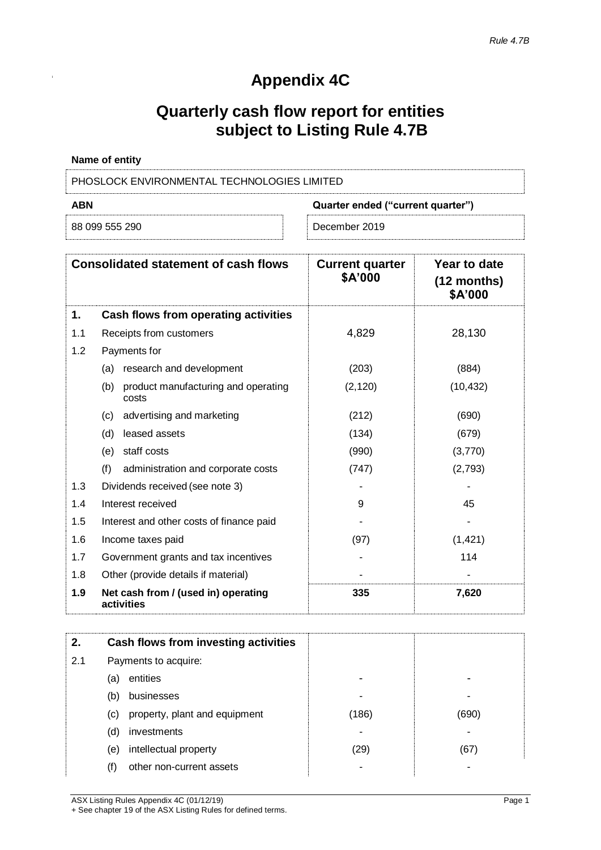# **Appendix 4C**

## **Quarterly cash flow report for entities subject to Listing Rule 4.7B**

| Name of entity                                     |               |  |
|----------------------------------------------------|---------------|--|
| <b>PHOSLOCK ENVIRONMENTAL TECHNOLOGIES LIMITED</b> |               |  |
| <b>ABN</b><br>Quarter ended ("current quarter")    |               |  |
| 88 099 555 290                                     | December 2019 |  |

|     | <b>Consolidated statement of cash flows</b>         | <b>Current quarter</b><br>\$A'000 | Year to date<br>$(12$ months)<br>\$A'000 |
|-----|-----------------------------------------------------|-----------------------------------|------------------------------------------|
| 1.  | Cash flows from operating activities                |                                   |                                          |
| 1.1 | Receipts from customers                             | 4,829                             | 28,130                                   |
| 1.2 | Payments for                                        |                                   |                                          |
|     | research and development<br>(a)                     | (203)                             | (884)                                    |
|     | (b)<br>product manufacturing and operating<br>costs | (2, 120)                          | (10, 432)                                |
|     | advertising and marketing<br>(c)                    | (212)                             | (690)                                    |
|     | (d)<br>leased assets                                | (134)                             | (679)                                    |
|     | staff costs<br>(e)                                  | (990)                             | (3,770)                                  |
|     | (f)<br>administration and corporate costs           | (747)                             | (2,793)                                  |
| 1.3 | Dividends received (see note 3)                     |                                   |                                          |
| 1.4 | Interest received                                   | 9                                 | 45                                       |
| 1.5 | Interest and other costs of finance paid            |                                   |                                          |
| 1.6 | Income taxes paid                                   | (97)                              | (1, 421)                                 |
| 1.7 | Government grants and tax incentives                |                                   | 114                                      |
| 1.8 | Other (provide details if material)                 |                                   |                                          |
| 1.9 | Net cash from / (used in) operating<br>activities   | 335                               | 7,620                                    |

| 2.  | Cash flows from investing activities |       |       |
|-----|--------------------------------------|-------|-------|
| 2.1 | Payments to acquire:                 |       |       |
|     | entities<br>(a)                      |       |       |
|     | businesses<br>(b)                    |       |       |
|     | property, plant and equipment<br>(c) | (186) | (690) |
|     | investments<br>(d)                   | ۰     |       |
|     | intellectual property<br>(e)         | (29)  | (67)  |
|     | other non-current assets<br>(f)      | ۰     |       |

ASX Listing Rules Appendix 4C (01/12/19) Page 1

+ See chapter 19 of the ASX Listing Rules for defined terms.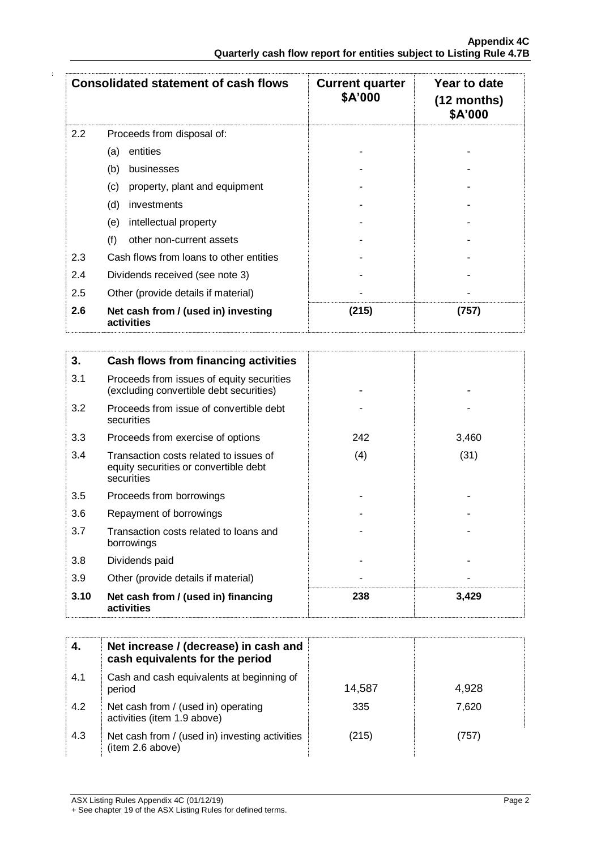|     | <b>Consolidated statement of cash flows</b>       | <b>Current quarter</b><br>\$A'000 | Year to date<br>$(12$ months)<br>\$A'000 |
|-----|---------------------------------------------------|-----------------------------------|------------------------------------------|
| 2.2 | Proceeds from disposal of:                        |                                   |                                          |
|     | entities<br>(a)                                   |                                   |                                          |
|     | (b)<br>businesses                                 |                                   |                                          |
|     | (c)<br>property, plant and equipment              |                                   |                                          |
|     | (d)<br>investments                                |                                   |                                          |
|     | (e)<br>intellectual property                      |                                   |                                          |
|     | (f)<br>other non-current assets                   |                                   |                                          |
| 2.3 | Cash flows from loans to other entities           |                                   |                                          |
| 2.4 | Dividends received (see note 3)                   |                                   |                                          |
| 2.5 | Other (provide details if material)               |                                   |                                          |
| 2.6 | Net cash from / (used in) investing<br>activities | (215)                             | (757)                                    |

| 3.   | <b>Cash flows from financing activities</b>                                                   |     |       |
|------|-----------------------------------------------------------------------------------------------|-----|-------|
| 3.1  | Proceeds from issues of equity securities<br>(excluding convertible debt securities)          |     |       |
| 3.2  | Proceeds from issue of convertible debt<br>securities                                         |     |       |
| 3.3  | Proceeds from exercise of options                                                             | 242 | 3,460 |
| 3.4  | Transaction costs related to issues of<br>equity securities or convertible debt<br>securities | (4) | (31)  |
| 3.5  | Proceeds from borrowings                                                                      |     |       |
| 3.6  | Repayment of borrowings                                                                       |     |       |
| 3.7  | Transaction costs related to loans and<br>borrowings                                          |     |       |
| 3.8  | Dividends paid                                                                                |     |       |
| 3.9  | Other (provide details if material)                                                           |     |       |
| 3.10 | Net cash from / (used in) financing<br>activities                                             | 238 | 3,429 |

| -4. | Net increase / (decrease) in cash and<br>cash equivalents for the period |        |       |
|-----|--------------------------------------------------------------------------|--------|-------|
| 4.1 | Cash and cash equivalents at beginning of<br>period                      | 14,587 | 4,928 |
| 4.2 | Net cash from / (used in) operating<br>activities (item 1.9 above)       | 335    | 7.620 |
| 4.3 | Net cash from / (used in) investing activities<br>(item 2.6 above)       | (215)  | (757) |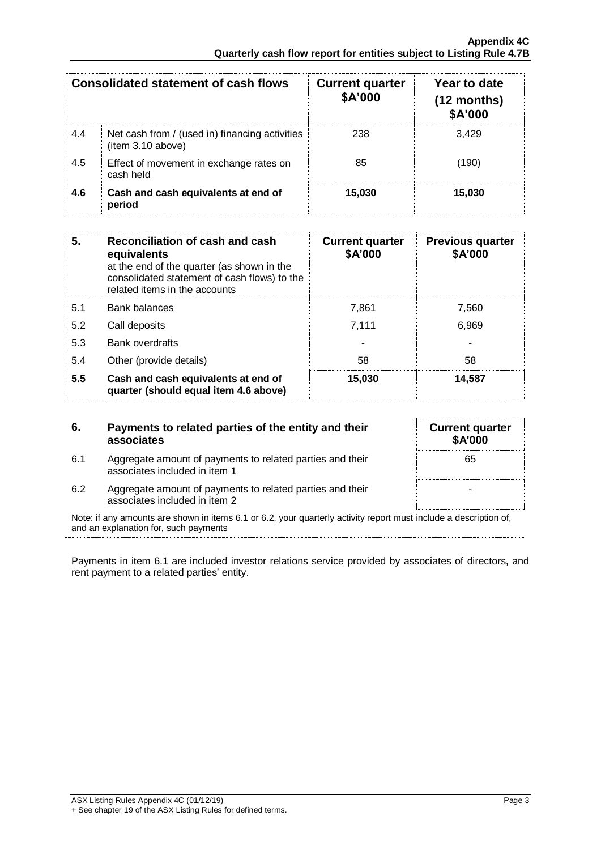|     | Consolidated statement of cash flows                                | <b>Current quarter</b><br>\$A'000 | Year to date<br>$(12$ months)<br>\$A'000 |
|-----|---------------------------------------------------------------------|-----------------------------------|------------------------------------------|
| 4.4 | Net cash from / (used in) financing activities<br>(item 3.10 above) | 238                               | 3.429                                    |
| 4.5 | Effect of movement in exchange rates on<br>cash held                | 85                                | (190)                                    |
| 4.6 | Cash and cash equivalents at end of<br>period                       | 15,030                            | 15,030                                   |

| 5.  | <b>Reconciliation of cash and cash</b><br>equivalents<br>at the end of the quarter (as shown in the<br>consolidated statement of cash flows) to the<br>related items in the accounts | <b>Current quarter</b><br>\$A'000 | <b>Previous quarter</b><br>\$A'000 |
|-----|--------------------------------------------------------------------------------------------------------------------------------------------------------------------------------------|-----------------------------------|------------------------------------|
| 5.1 | <b>Bank balances</b>                                                                                                                                                                 | 7,861                             | 7,560                              |
| 5.2 | Call deposits                                                                                                                                                                        | 7,111                             | 6,969                              |
| 5.3 | <b>Bank overdrafts</b>                                                                                                                                                               |                                   |                                    |
| 5.4 | Other (provide details)                                                                                                                                                              | 58                                | 58                                 |
| 5.5 | Cash and cash equivalents at end of<br>quarter (should equal item 4.6 above)                                                                                                         | 15,030                            | 14,587                             |

| 6.  | Payments to related parties of the entity and their<br>associates                                                 | <b>Current quarter</b><br><b>\$A'000</b> |
|-----|-------------------------------------------------------------------------------------------------------------------|------------------------------------------|
| 6.1 | Aggregate amount of payments to related parties and their<br>associates included in item 1                        | 65                                       |
| 6.2 | Aggregate amount of payments to related parties and their<br>associates included in item 2                        |                                          |
|     | Note: if any amounts are shown in items 6.1 or 6.2, your quarterly activity report must include a description of, |                                          |

and an explanation for, such payments

Payments in item 6.1 are included investor relations service provided by associates of directors, and rent payment to a related parties' entity.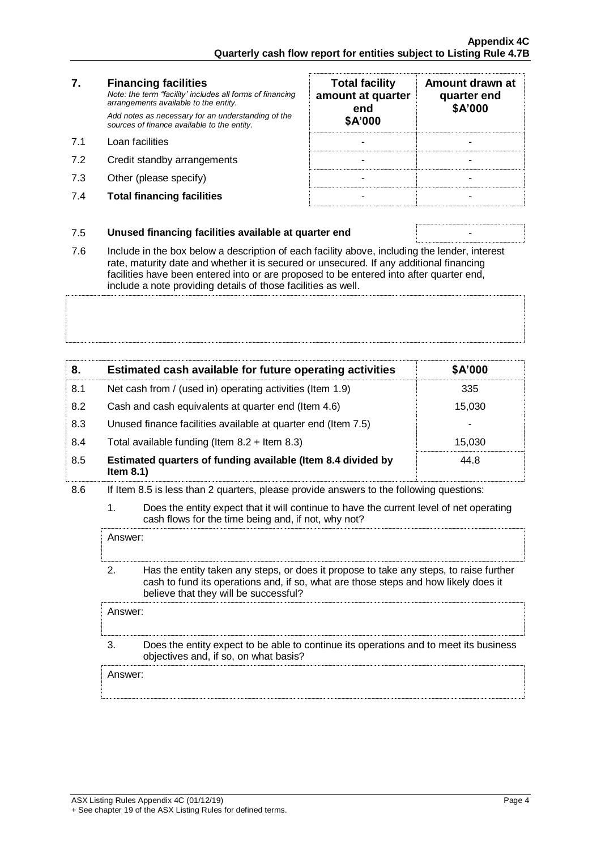|     | <b>Financing facilities</b><br>Note: the term "facility' includes all forms of financing<br>arrangements available to the entity. | <b>Total facility</b><br>amount at quarter<br>end | Amount<br>quarte<br>\$A' |
|-----|-----------------------------------------------------------------------------------------------------------------------------------|---------------------------------------------------|--------------------------|
|     | Add notes as necessary for an understanding of the<br>sources of finance available to the entity.                                 | \$A'000                                           |                          |
| 71  | Loan facilities                                                                                                                   |                                                   |                          |
| 7.2 | Credit standby arrangements                                                                                                       |                                                   |                          |
| 7.3 | Other (please specify)                                                                                                            |                                                   |                          |

**7.4 Total financing facilities** 

| <b>Total facility</b><br>amount at quarter<br>end<br>\$A'000 | Amount drawn at<br>quarter end<br>\$A'000 |
|--------------------------------------------------------------|-------------------------------------------|
|                                                              |                                           |
|                                                              |                                           |
|                                                              |                                           |
|                                                              |                                           |

#### 7.5 **Unused financing facilities available at quarter end** -

7.6 Include in the box below a description of each facility above, including the lender, interest rate, maturity date and whether it is secured or unsecured. If any additional financing facilities have been entered into or are proposed to be entered into after quarter end, include a note providing details of those facilities as well.

| 8.  | Estimated cash available for future operating activities                     | \$A'000 |
|-----|------------------------------------------------------------------------------|---------|
| 8.1 | Net cash from / (used in) operating activities (Item 1.9)                    | 335     |
| 8.2 | Cash and cash equivalents at quarter end (Item 4.6)                          | 15,030  |
| 8.3 | Unused finance facilities available at quarter end (Item 7.5)                |         |
| 8.4 | Total available funding (Item $8.2 +$ Item $8.3$ )                           | 15.030  |
| 8.5 | Estimated quarters of funding available (Item 8.4 divided by<br>Item $8.1$ ) | 44.8    |

- 8.6 If Item 8.5 is less than 2 quarters, please provide answers to the following questions:
	- 1. Does the entity expect that it will continue to have the current level of net operating cash flows for the time being and, if not, why not?

| Answer:             |                                                                                                                                                                                                                        |
|---------------------|------------------------------------------------------------------------------------------------------------------------------------------------------------------------------------------------------------------------|
| 2                   | Has the entity taken any steps, or does it propose to take any steps, to raise further<br>cash to fund its operations and, if so, what are those steps and how likely does it<br>believe that they will be successful? |
| Answer:             |                                                                                                                                                                                                                        |
|                     | Does the entity expect to be able to continue its operations and to meet its business<br>objectives and, if so, on what basis?                                                                                         |
| Answer <sup>.</sup> |                                                                                                                                                                                                                        |